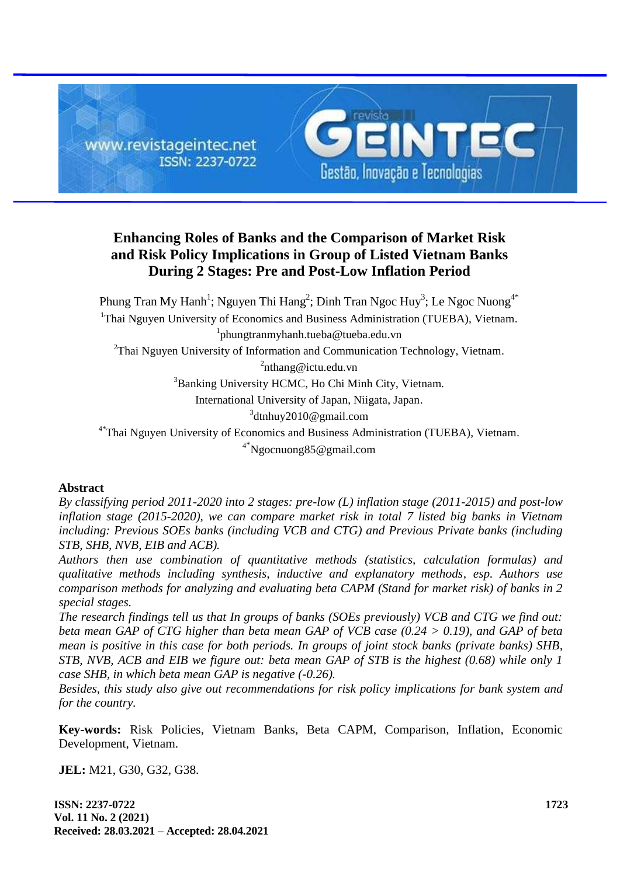

# **Enhancing Roles of Banks and the Comparison of Market Risk and Risk Policy Implications in Group of Listed Vietnam Banks During 2 Stages: Pre and Post-Low Inflation Period**

Phung Tran My Hanh<sup>1</sup>; Nguyen Thi Hang<sup>2</sup>; Dinh Tran Ngoc Huy<sup>3</sup>; Le Ngoc Nuong<sup>4\*</sup> <sup>1</sup>Thai Nguyen University of Economics and Business Administration (TUEBA), Vietnam. 1 [phungtranmyhanh.tueba@tueba.edu.vn](mailto:Phungtranmyhanh.tueba@tueba.edu.vn) <sup>2</sup>Thai Nguyen University of Information and Communication Technology, Vietnam.  ${}^{2}$ [nthang@ictu.edu.vn](mailto:nthang@ictu.edu.vn) <sup>3</sup>Banking University HCMC, Ho Chi Minh City, Vietnam. International University of Japan, Niigata, Japan. 3 [dtnhuy2010@gmail.com](mailto:dtnhuy2010@gmail.com) 4\*Thai Nguyen University of Economics and Business Administration (TUEBA), Vietnam. <sup>4</sup>\*[Ngocnuong85@gmail.com](mailto:Ngocnuong85@gmail.com)

### **Abstract**

*By classifying period 2011-2020 into 2 stages: pre-low (L) inflation stage (2011-2015) and post-low inflation stage (2015-2020), we can compare market risk in total 7 listed big banks in Vietnam including: Previous SOEs banks (including VCB and CTG) and Previous Private banks (including STB, SHB, NVB, EIB and ACB).*

*Authors then use combination of quantitative methods (statistics, calculation formulas) and qualitative methods including synthesis, inductive and explanatory methods, esp. Authors use comparison methods for analyzing and evaluating beta CAPM (Stand for market risk) of banks in 2 special stages.* 

*The research findings tell us that In groups of banks (SOEs previously) VCB and CTG we find out: beta mean GAP of CTG higher than beta mean GAP of VCB case (0.24 > 0.19), and GAP of beta mean is positive in this case for both periods. In groups of joint stock banks (private banks) SHB, STB, NVB, ACB and EIB we figure out: beta mean GAP of STB is the highest (0.68) while only 1 case SHB, in which beta mean GAP is negative (-0.26).*

*Besides, this study also give out recommendations for risk policy implications for bank system and for the country.*

**Key-words:** Risk Policies, Vietnam Banks, Beta CAPM, Comparison, Inflation, Economic Development, Vietnam.

**JEL:** M21, G30, G32, G38.

**ISSN: 2237-0722 Vol. 11 No. 2 (2021) Received: 28.03.2021 – Accepted: 28.04.2021**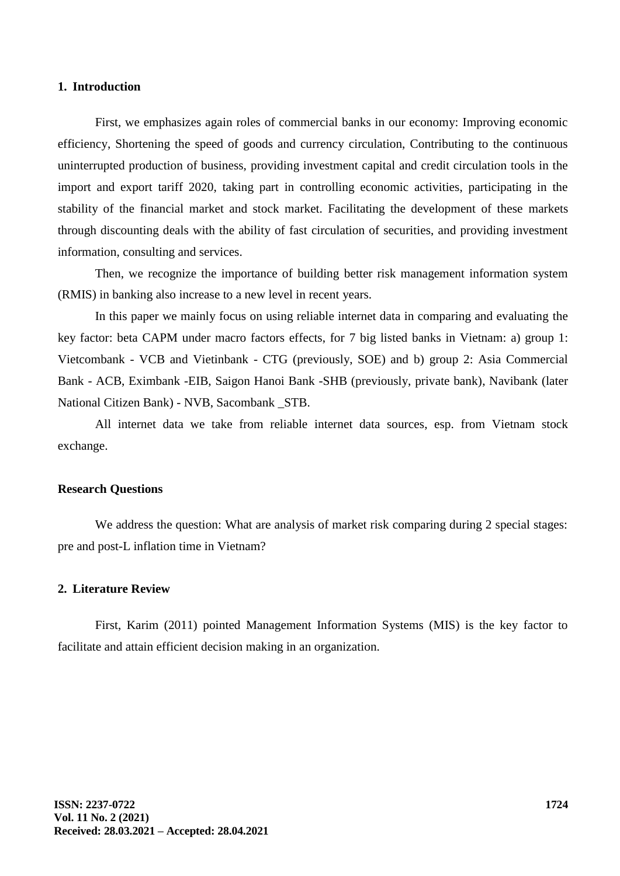#### **1. Introduction**

First, we emphasizes again roles of commercial banks in our economy: Improving economic efficiency, Shortening the speed of goods and currency circulation, Contributing to the continuous uninterrupted production of business, providing investment capital and credit circulation tools in the import and export tariff 2020, taking part in controlling economic activities, participating in the stability of the financial market and stock market. Facilitating the development of these markets through discounting deals with the ability of fast circulation of securities, and providing investment information, consulting and services.

Then, we recognize the importance of building better risk management information system (RMIS) in banking also increase to a new level in recent years.

In this paper we mainly focus on using reliable internet data in comparing and evaluating the key factor: beta CAPM under macro factors effects, for 7 big listed banks in Vietnam: a) group 1: Vietcombank - VCB and Vietinbank - CTG (previously, SOE) and b) group 2: Asia Commercial Bank - ACB, Eximbank -EIB, Saigon Hanoi Bank -SHB (previously, private bank), Navibank (later National Citizen Bank) - NVB, Sacombank \_STB.

All internet data we take from reliable internet data sources, esp. from Vietnam stock exchange.

#### **Research Questions**

We address the question: What are analysis of market risk comparing during 2 special stages: pre and post-L inflation time in Vietnam?

### **2. Literature Review**

First, Karim (2011) pointed Management Information Systems (MIS) is the key factor to facilitate and attain efficient decision making in an organization.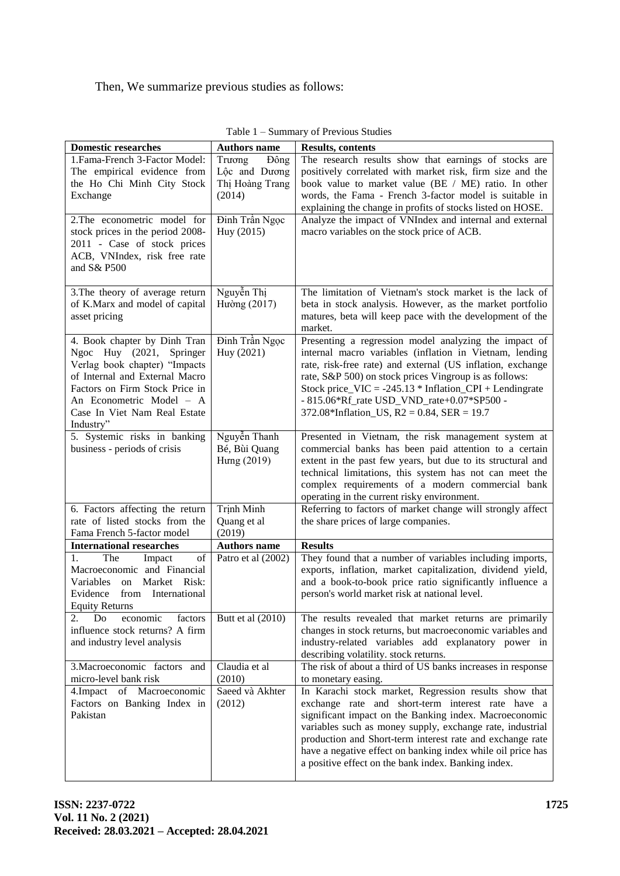Then, We summarize previous studies as follows:

| <b>Domestic researches</b>                                                                                                                                                                                                                             | <b>Authors name</b>                                          | <b>Results, contents</b>                                                                                                                                                                                                                                                                                                                                                                                             |
|--------------------------------------------------------------------------------------------------------------------------------------------------------------------------------------------------------------------------------------------------------|--------------------------------------------------------------|----------------------------------------------------------------------------------------------------------------------------------------------------------------------------------------------------------------------------------------------------------------------------------------------------------------------------------------------------------------------------------------------------------------------|
| 1. Fama-French 3-Factor Model:<br>The empirical evidence from<br>the Ho Chi Minh City Stock<br>Exchange                                                                                                                                                | Trương<br>Đông<br>Lộc and Dương<br>Thị Hoàng Trang<br>(2014) | The research results show that earnings of stocks are<br>positively correlated with market risk, firm size and the<br>book value to market value (BE / ME) ratio. In other<br>words, the Fama - French 3-factor model is suitable in<br>explaining the change in profits of stocks listed on HOSE.                                                                                                                   |
| 2. The econometric model for<br>stock prices in the period 2008-<br>2011 - Case of stock prices<br>ACB, VNIndex, risk free rate<br>and S& P500                                                                                                         | Đinh Trần Ngọc<br>Huy (2015)                                 | Analyze the impact of VNIndex and internal and external<br>macro variables on the stock price of ACB.                                                                                                                                                                                                                                                                                                                |
| 3. The theory of average return<br>of K.Marx and model of capital<br>asset pricing                                                                                                                                                                     | Nguyễn Thị<br>Hường (2017)                                   | The limitation of Vietnam's stock market is the lack of<br>beta in stock analysis. However, as the market portfolio<br>matures, beta will keep pace with the development of the<br>market.                                                                                                                                                                                                                           |
| 4. Book chapter by Dinh Tran<br>Ngoc Huy (2021, Springer<br>Verlag book chapter) "Impacts<br>of Internal and External Macro<br>Factors on Firm Stock Price in<br>An Econometric Model - A<br>Case In Viet Nam Real Estate<br>Industry"                 | Đinh Trần Ngọc<br>Huy (2021)                                 | Presenting a regression model analyzing the impact of<br>internal macro variables (inflation in Vietnam, lending<br>rate, risk-free rate) and external (US inflation, exchange<br>rate, S&P 500) on stock prices Vingroup is as follows:<br>Stock price_VIC = $-245.13 * Inflation_CPI + Lendingrate$<br>- 815.06*Rf_rate USD_VND_rate+0.07*SP500 -<br>372.08*Inflation_US, $R2 = 0.84$ , $SER = 19.7$               |
| 5. Systemic risks in banking<br>business - periods of crisis                                                                                                                                                                                           | Nguyễn Thanh<br>Bé, Bùi Quang<br>Hung (2019)                 | Presented in Vietnam, the risk management system at<br>commercial banks has been paid attention to a certain<br>extent in the past few years, but due to its structural and<br>technical limitations, this system has not can meet the<br>complex requirements of a modern commercial bank<br>operating in the current risky environment.                                                                            |
| 6. Factors affecting the return<br>rate of listed stocks from the<br>Fama French 5-factor model                                                                                                                                                        | Trịnh Minh<br>Quang et al<br>(2019)                          | Referring to factors of market change will strongly affect<br>the share prices of large companies.                                                                                                                                                                                                                                                                                                                   |
| <b>International researches</b>                                                                                                                                                                                                                        | <b>Authors name</b>                                          | <b>Results</b>                                                                                                                                                                                                                                                                                                                                                                                                       |
| 1.<br>The<br>$% \left( \left( \mathcal{A},\mathcal{A}\right) \right) =\left( \mathcal{A},\mathcal{A}\right)$ of<br>Impact<br>Macroeconomic and Financial<br>Market Risk:<br>Variables<br>on<br>Evidence<br>from International<br><b>Equity Returns</b> | Patro et al (2002)                                           | They found that a number of variables including imports,<br>exports, inflation, market capitalization, dividend yield,<br>and a book-to-book price ratio significantly influence a<br>person's world market risk at national level.                                                                                                                                                                                  |
| 2.<br>factors<br>Do<br>economic<br>influence stock returns? A firm<br>and industry level analysis                                                                                                                                                      | Butt et al (2010)                                            | The results revealed that market returns are primarily<br>changes in stock returns, but macroeconomic variables and<br>industry-related variables add explanatory power in<br>describing volatility. stock returns.                                                                                                                                                                                                  |
| 3. Macroeconomic factors and<br>micro-level bank risk                                                                                                                                                                                                  | Claudia et al<br>(2010)                                      | The risk of about a third of US banks increases in response<br>to monetary easing.                                                                                                                                                                                                                                                                                                                                   |
| 4. Impact of Macroeconomic<br>Factors on Banking Index in<br>Pakistan                                                                                                                                                                                  | Saeed và Akhter<br>(2012)                                    | In Karachi stock market, Regression results show that<br>exchange rate and short-term interest rate have a<br>significant impact on the Banking index. Macroeconomic<br>variables such as money supply, exchange rate, industrial<br>production and Short-term interest rate and exchange rate<br>have a negative effect on banking index while oil price has<br>a positive effect on the bank index. Banking index. |

| Table 1 – Summary of Previous Studies |  |
|---------------------------------------|--|
|---------------------------------------|--|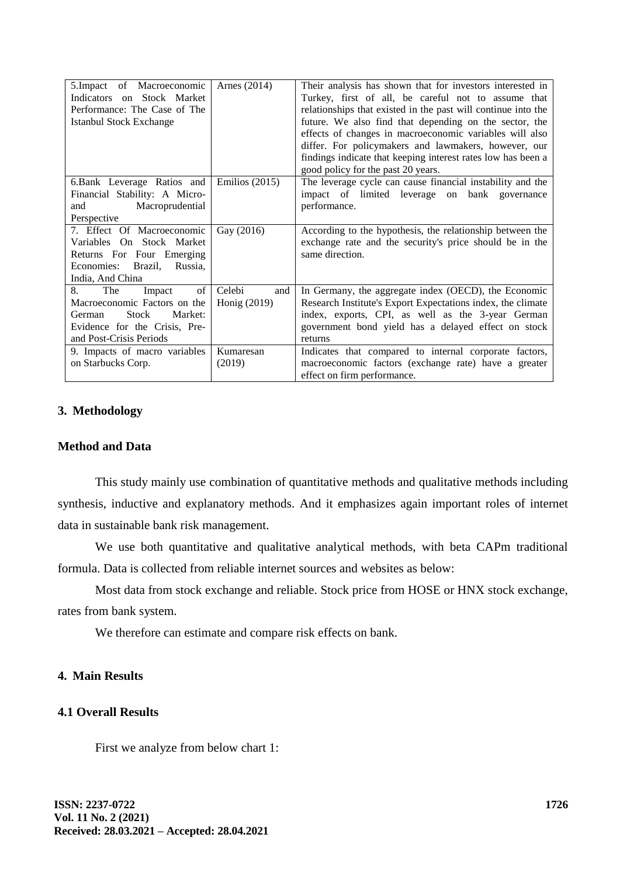| 5. Impact of Macroeconomic<br>Indicators on Stock Market<br>Performance: The Case of The<br><b>Istanbul Stock Exchange</b> | Arnes $(2014)$   | Their analysis has shown that for investors interested in<br>Turkey, first of all, be careful not to assume that<br>relationships that existed in the past will continue into the<br>future. We also find that depending on the sector, the<br>effects of changes in macroeconomic variables will also<br>differ. For policymakers and lawmakers, however, our<br>findings indicate that keeping interest rates low has been a |
|----------------------------------------------------------------------------------------------------------------------------|------------------|--------------------------------------------------------------------------------------------------------------------------------------------------------------------------------------------------------------------------------------------------------------------------------------------------------------------------------------------------------------------------------------------------------------------------------|
|                                                                                                                            |                  | good policy for the past 20 years.                                                                                                                                                                                                                                                                                                                                                                                             |
| 6.Bank Leverage Ratios and                                                                                                 | Emilios $(2015)$ | The leverage cycle can cause financial instability and the                                                                                                                                                                                                                                                                                                                                                                     |
| Financial Stability: A Micro-                                                                                              |                  | impact of limited leverage on<br>bank governance                                                                                                                                                                                                                                                                                                                                                                               |
| Macroprudential<br>and                                                                                                     |                  | performance.                                                                                                                                                                                                                                                                                                                                                                                                                   |
| Perspective                                                                                                                |                  |                                                                                                                                                                                                                                                                                                                                                                                                                                |
| 7. Effect Of Macroeconomic                                                                                                 | Gay (2016)       | According to the hypothesis, the relationship between the                                                                                                                                                                                                                                                                                                                                                                      |
| Variables On Stock Market                                                                                                  |                  | exchange rate and the security's price should be in the                                                                                                                                                                                                                                                                                                                                                                        |
| Returns For Four Emerging                                                                                                  |                  | same direction.                                                                                                                                                                                                                                                                                                                                                                                                                |
| Economies: Brazil,<br>Russia,                                                                                              |                  |                                                                                                                                                                                                                                                                                                                                                                                                                                |
| India, And China                                                                                                           |                  |                                                                                                                                                                                                                                                                                                                                                                                                                                |
| of<br>8.<br>The<br>Impact                                                                                                  | Celebi<br>and    | In Germany, the aggregate index (OECD), the Economic                                                                                                                                                                                                                                                                                                                                                                           |
| Macroeconomic Factors on the                                                                                               | Honig (2019)     | Research Institute's Export Expectations index, the climate                                                                                                                                                                                                                                                                                                                                                                    |
| Stock<br>Market:<br>German                                                                                                 |                  | index, exports, CPI, as well as the 3-year German                                                                                                                                                                                                                                                                                                                                                                              |
| Evidence for the Crisis, Pre-                                                                                              |                  | government bond yield has a delayed effect on stock                                                                                                                                                                                                                                                                                                                                                                            |
| and Post-Crisis Periods                                                                                                    |                  | returns                                                                                                                                                                                                                                                                                                                                                                                                                        |
| 9. Impacts of macro variables                                                                                              | Kumaresan        | Indicates that compared to internal corporate factors,                                                                                                                                                                                                                                                                                                                                                                         |
| on Starbucks Corp.                                                                                                         | (2019)           | macroeconomic factors (exchange rate) have a greater                                                                                                                                                                                                                                                                                                                                                                           |
|                                                                                                                            |                  | effect on firm performance.                                                                                                                                                                                                                                                                                                                                                                                                    |

# **3. Methodology**

# **Method and Data**

This study mainly use combination of quantitative methods and qualitative methods including synthesis, inductive and explanatory methods. And it emphasizes again important roles of internet data in sustainable bank risk management.

We use both quantitative and qualitative analytical methods, with beta CAPm traditional formula. Data is collected from reliable internet sources and websites as below:

Most data from stock exchange and reliable. Stock price from HOSE or HNX stock exchange, rates from bank system.

We therefore can estimate and compare risk effects on bank.

### **4. Main Results**

# **4.1 Overall Results**

First we analyze from below chart 1: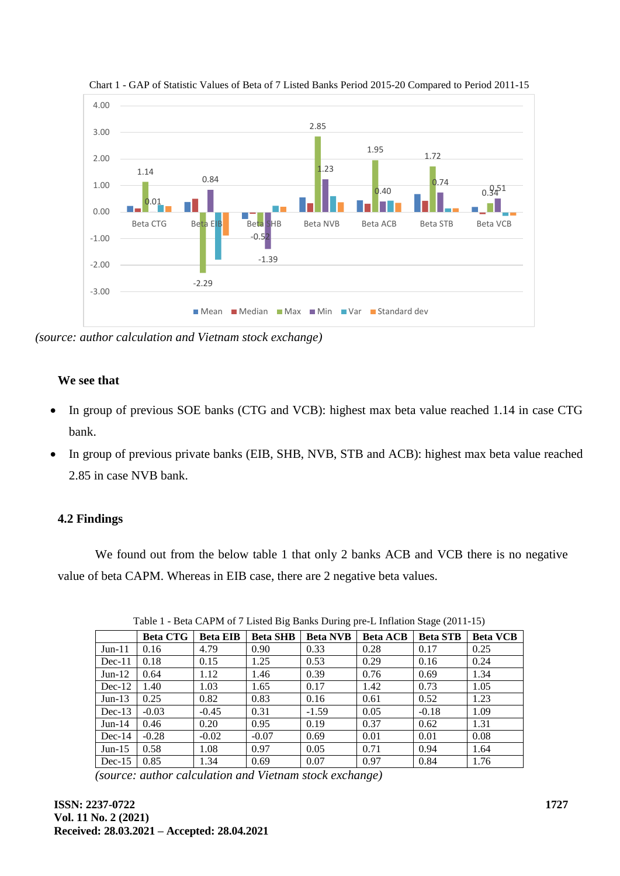

Chart 1 - GAP of Statistic Values of Beta of 7 Listed Banks Period 2015-20 Compared to Period 2011-15

*(source: author calculation and Vietnam stock exchange)*

### **We see that**

- In group of previous SOE banks (CTG and VCB): highest max beta value reached 1.14 in case CTG bank.
- In group of previous private banks (EIB, SHB, NVB, STB and ACB): highest max beta value reached 2.85 in case NVB bank.

### **4.2 Findings**

We found out from the below table 1 that only 2 banks ACB and VCB there is no negative value of beta CAPM. Whereas in EIB case, there are 2 negative beta values.

|          | <b>Beta CTG</b> | <b>Beta EIB</b> | <b>Beta SHB</b> | <b>Beta NVB</b> | <b>Beta ACB</b> | <b>Beta STB</b> | <b>Beta VCB</b> |
|----------|-----------------|-----------------|-----------------|-----------------|-----------------|-----------------|-----------------|
| $Jun-11$ | 0.16            | 4.79            | 0.90            | 0.33            | 0.28            | 0.17            | 0.25            |
| $Dec-11$ | 0.18            | 0.15            | 1.25            | 0.53            | 0.29            | 0.16            | 0.24            |
| $Jun-12$ | 0.64            | 1.12            | 1.46            | 0.39            | 0.76            | 0.69            | 1.34            |
| $Dec-12$ | 1.40            | 1.03            | 1.65            | 0.17            | 1.42            | 0.73            | 1.05            |
| $Jun-13$ | 0.25            | 0.82            | 0.83            | 0.16            | 0.61            | 0.52            | 1.23            |
| $Dec-13$ | $-0.03$         | $-0.45$         | 0.31            | $-1.59$         | 0.05            | $-0.18$         | 1.09            |
| $Jun-14$ | 0.46            | 0.20            | 0.95            | 0.19            | 0.37            | 0.62            | 1.31            |
| $Dec-14$ | $-0.28$         | $-0.02$         | $-0.07$         | 0.69            | 0.01            | 0.01            | 0.08            |
| $Jun-15$ | 0.58            | 1.08            | 0.97            | 0.05            | 0.71            | 0.94            | 1.64            |
| $Dec-15$ | 0.85            | 1.34            | 0.69            | 0.07            | 0.97            | 0.84            | 1.76            |

Table 1 - Beta CAPM of 7 Listed Big Banks During pre-L Inflation Stage (2011-15)

*(source: author calculation and Vietnam stock exchange)*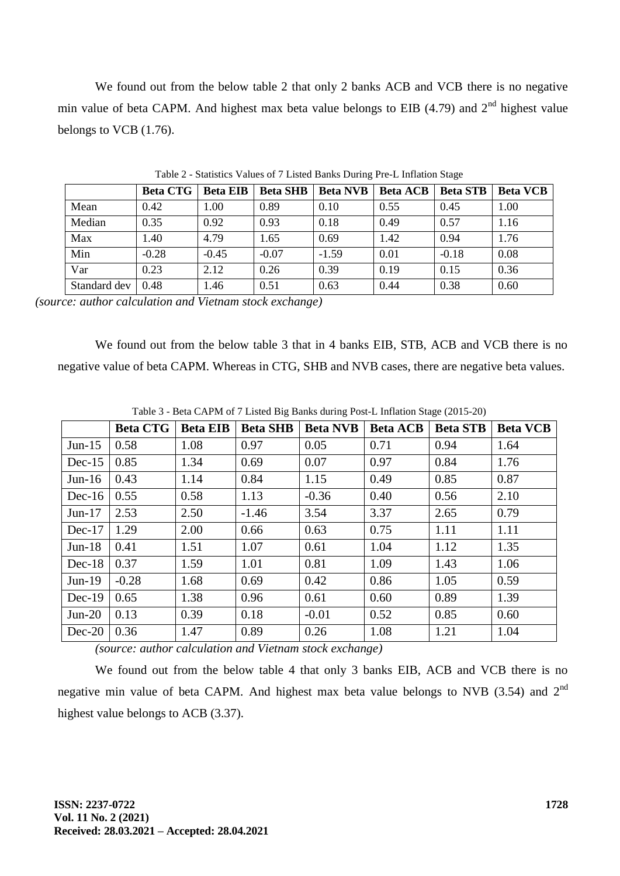We found out from the below table 2 that only 2 banks ACB and VCB there is no negative min value of beta CAPM. And highest max beta value belongs to EIB (4.79) and  $2<sup>nd</sup>$  highest value belongs to VCB (1.76).

|              | <b>Beta CTG</b> | <b>Beta EIB</b> | <b>Beta SHB</b> | <b>Beta NVB</b> | <b>Beta ACB</b> | <b>Beta STB</b> | <b>Beta VCB</b> |
|--------------|-----------------|-----------------|-----------------|-----------------|-----------------|-----------------|-----------------|
| Mean         | 0.42            | 1.00            | 0.89            | 0.10            | 0.55            | 0.45            | 1.00            |
| Median       | 0.35            | 0.92            | 0.93            | 0.18            | 0.49            | 0.57            | 1.16            |
| Max          | 1.40            | 4.79            | 1.65            | 0.69            | 1.42            | 0.94            | 1.76            |
| Min          | $-0.28$         | $-0.45$         | $-0.07$         | $-1.59$         | 0.01            | $-0.18$         | 0.08            |
| Var          | 0.23            | 2.12            | 0.26            | 0.39            | 0.19            | 0.15            | 0.36            |
| Standard dev | 0.48            | 1.46            | 0.51            | 0.63            | 0.44            | 0.38            | 0.60            |

Table 2 - Statistics Values of 7 Listed Banks During Pre-L Inflation Stage

*(source: author calculation and Vietnam stock exchange)*

We found out from the below table 3 that in 4 banks EIB, STB, ACB and VCB there is no negative value of beta CAPM. Whereas in CTG, SHB and NVB cases, there are negative beta values.

|          | <b>Beta CTG</b> | <b>Beta EIB</b> | <b>Beta SHB</b> | <b>Beta NVB</b> | <b>Beta ACB</b> | <b>Beta STB</b> | <b>Beta VCB</b> |
|----------|-----------------|-----------------|-----------------|-----------------|-----------------|-----------------|-----------------|
| $Jun-15$ | 0.58            | 1.08            | 0.97            | 0.05            | 0.71            | 0.94            | 1.64            |
| $Dec-15$ | 0.85            | 1.34            | 0.69            | 0.07            | 0.97            | 0.84            | 1.76            |
| $Jun-16$ | 0.43            | 1.14            | 0.84            | 1.15            | 0.49            | 0.85            | 0.87            |
| $Dec-16$ | 0.55            | 0.58            | 1.13            | $-0.36$         | 0.40            | 0.56            | 2.10            |
| $Jun-17$ | 2.53            | 2.50            | $-1.46$         | 3.54            | 3.37            | 2.65            | 0.79            |
| $Dec-17$ | 1.29            | 2.00            | 0.66            | 0.63            | 0.75            | 1.11            | 1.11            |
| $Jun-18$ | 0.41            | 1.51            | 1.07            | 0.61            | 1.04            | 1.12            | 1.35            |
| $Dec-18$ | 0.37            | 1.59            | 1.01            | 0.81            | 1.09            | 1.43            | 1.06            |
| $Jun-19$ | $-0.28$         | 1.68            | 0.69            | 0.42            | 0.86            | 1.05            | 0.59            |
| $Dec-19$ | 0.65            | 1.38            | 0.96            | 0.61            | 0.60            | 0.89            | 1.39            |
| $Jun-20$ | 0.13            | 0.39            | 0.18            | $-0.01$         | 0.52            | 0.85            | 0.60            |
| $Dec-20$ | 0.36            | 1.47            | 0.89            | 0.26            | 1.08            | 1.21            | 1.04            |

Table 3 - Beta CAPM of 7 Listed Big Banks during Post-L Inflation Stage (2015-20)

*(source: author calculation and Vietnam stock exchange)*

We found out from the below table 4 that only 3 banks EIB, ACB and VCB there is no negative min value of beta CAPM. And highest max beta value belongs to NVB (3.54) and 2<sup>nd</sup> highest value belongs to ACB (3.37).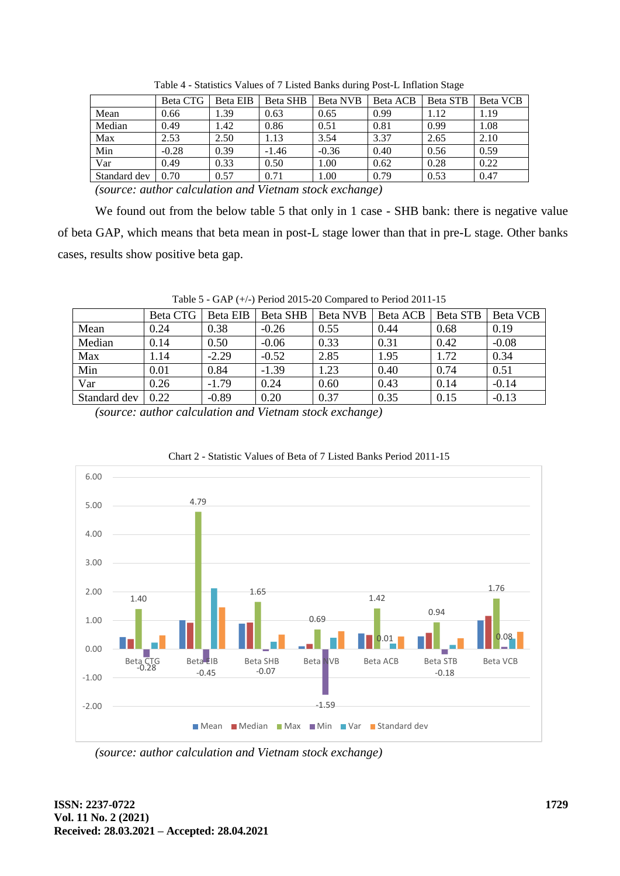|              | Beta CTG | Beta EIB | Beta SHB | Beta NVB | Beta ACB | Beta STB | Beta VCB |
|--------------|----------|----------|----------|----------|----------|----------|----------|
| Mean         | 0.66     | .39      | 0.63     | 0.65     | 0.99     | 1.12     | 1.19     |
| Median       | 0.49     | .42      | 0.86     | 0.51     | 0.81     | 0.99     | 1.08     |
| Max          | 2.53     | 2.50     | .13      | 3.54     | 3.37     | 2.65     | 2.10     |
| Min          | $-0.28$  | 0.39     | $-1.46$  | $-0.36$  | 0.40     | 0.56     | 0.59     |
| Var          | 0.49     | 0.33     | 0.50     | 1.00     | 0.62     | 0.28     | 0.22     |
| Standard dev | 0.70     | 0.57     | 0.71     | 1.00     | 0.79     | 0.53     | 0.47     |

Table 4 - Statistics Values of 7 Listed Banks during Post-L Inflation Stage

*(source: author calculation and Vietnam stock exchange)*

We found out from the below table 5 that only in 1 case - SHB bank: there is negative value of beta GAP, which means that beta mean in post-L stage lower than that in pre-L stage. Other banks cases, results show positive beta gap.

|              | Beta CTG | Beta EIB | Beta SHB | <b>Beta NVB</b> | Beta ACB | <b>Beta STB</b> | Beta VCB |
|--------------|----------|----------|----------|-----------------|----------|-----------------|----------|
| Mean         | 0.24     | 0.38     | $-0.26$  | 0.55            | 0.44     | 0.68            | 0.19     |
| Median       | 0.14     | 0.50     | $-0.06$  | 0.33            | 0.31     | 0.42            | $-0.08$  |
| Max          | .14      | $-2.29$  | $-0.52$  | 2.85            | 1.95     | 1.72            | 0.34     |
| Min          | 0.01     | 0.84     | $-1.39$  | 1.23            | 0.40     | 0.74            | 0.51     |
| Var          | 0.26     | $-1.79$  | 0.24     | 0.60            | 0.43     | 0.14            | $-0.14$  |
| Standard dev | 0.22     | $-0.89$  | 0.20     | 0.37            | 0.35     | 0.15            | $-0.13$  |

Table 5 - GAP (+/-) Period 2015-20 Compared to Period 2011-15

*(source: author calculation and Vietnam stock exchange)*



Chart 2 - Statistic Values of Beta of 7 Listed Banks Period 2011-15

*(source: author calculation and Vietnam stock exchange)*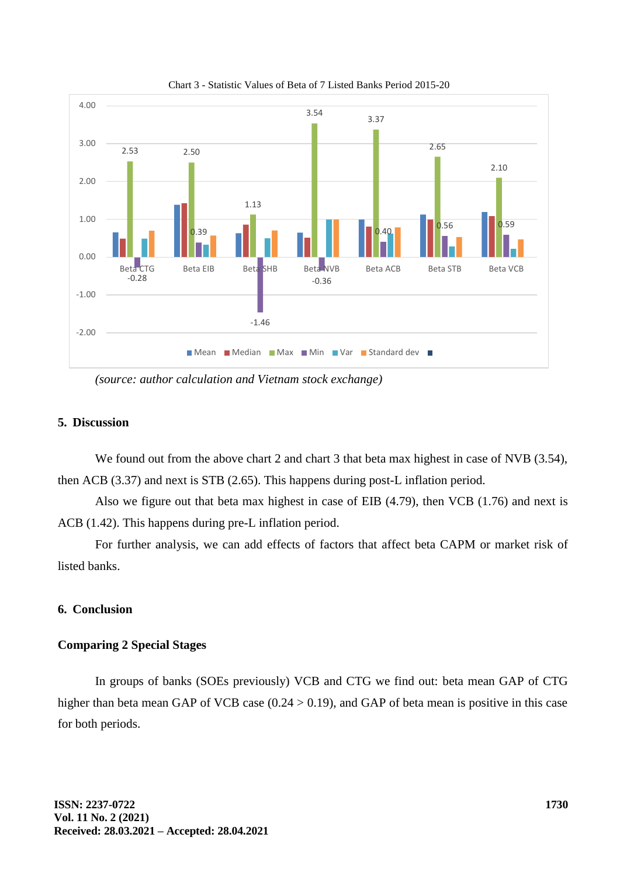

Chart 3 - Statistic Values of Beta of 7 Listed Banks Period 2015-20

*(source: author calculation and Vietnam stock exchange)*

#### **5. Discussion**

We found out from the above chart 2 and chart 3 that beta max highest in case of NVB (3.54), then ACB (3.37) and next is STB (2.65). This happens during post-L inflation period.

Also we figure out that beta max highest in case of EIB (4.79), then VCB (1.76) and next is ACB (1.42). This happens during pre-L inflation period.

For further analysis, we can add effects of factors that affect beta CAPM or market risk of listed banks.

### **6. Conclusion**

#### **Comparing 2 Special Stages**

In groups of banks (SOEs previously) VCB and CTG we find out: beta mean GAP of CTG higher than beta mean GAP of VCB case  $(0.24 > 0.19)$ , and GAP of beta mean is positive in this case for both periods.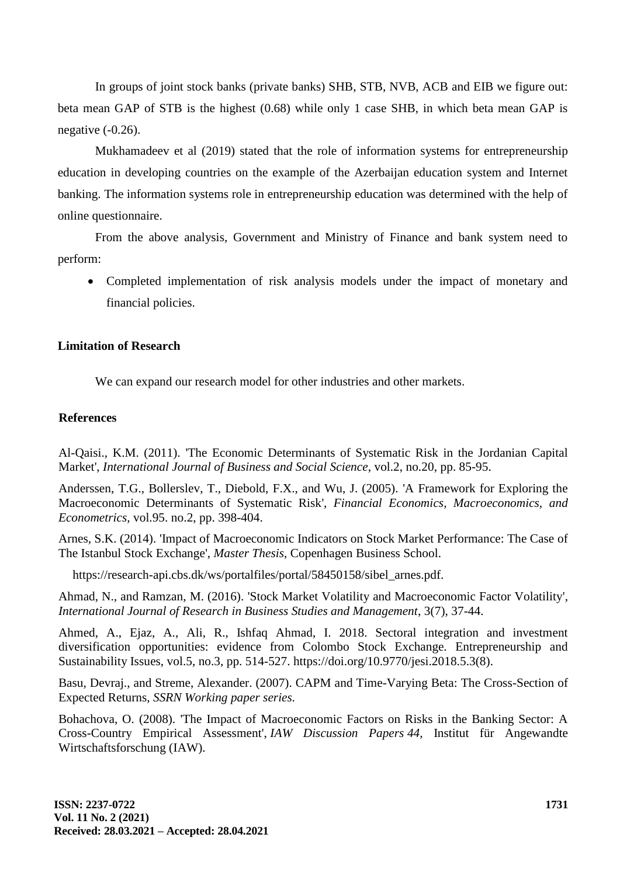In groups of joint stock banks (private banks) SHB, STB, NVB, ACB and EIB we figure out: beta mean GAP of STB is the highest (0.68) while only 1 case SHB, in which beta mean GAP is negative (-0.26).

Mukhamadeev et al (2019) stated that the role of information systems for entrepreneurship education in developing countries on the example of the Azerbaijan education system and Internet banking. The information systems role in entrepreneurship education was determined with the help of online questionnaire.

From the above analysis, Government and Ministry of Finance and bank system need to perform:

 Completed implementation of risk analysis models under the impact of monetary and financial policies.

# **Limitation of Research**

We can expand our research model for other industries and other markets.

### **References**

Al-Qaisi., K.M. (2011). 'The Economic Determinants of Systematic Risk in the Jordanian Capital Market', *International Journal of Business and Social Science*, vol.2, no.20, pp. 85-95.

Anderssen, T.G., Bollerslev, T., Diebold, F.X., and Wu, J. (2005). 'A Framework for Exploring the Macroeconomic Determinants of Systematic Risk', *Financial Economics, Macroeconomics, and Econometrics,* vol.95. no.2, pp. 398-404.

Arnes, S.K. (2014). 'Impact of Macroeconomic Indicators on Stock Market Performance: The Case of The Istanbul Stock Exchange', *Master Thesis*, Copenhagen Business School.

https://research-api.cbs.dk/ws/portalfiles/portal/58450158/sibel\_arnes.pdf.

Ahmad, N., and Ramzan, M. (2016). 'Stock Market Volatility and Macroeconomic Factor Volatility', *International Journal of Research in Business Studies and Management*, 3(7), 37-44.

Ahmed, A., Ejaz, A., Ali, R., Ishfaq Ahmad, I. 2018. Sectoral integration and investment diversification opportunities: evidence from Colombo Stock Exchange. Entrepreneurship and Sustainability Issues, vol.5, no.3, pp. 514-527. [https://doi.org/10.9770/jesi.2018.5.3\(8\).](https://doi.org/10.9770/jesi.2018.5.3(8))

Basu, Devraj., and Streme, Alexander. (2007). CAPM and Time-Varying Beta: The Cross-Section of Expected Returns, *SSRN Working paper series.*

Bohachova, O. (2008). ['The Impact of Macroeconomic Factors on Risks in the Banking Sector: A](https://ideas.repec.org/p/iaw/iawdip/44.html)  [Cross-Country Empirical Assessment',](https://ideas.repec.org/p/iaw/iawdip/44.html) *[IAW Discussion Papers](https://ideas.repec.org/s/iaw/iawdip.html) 44,* Institut für Angewandte Wirtschaftsforschung (IAW).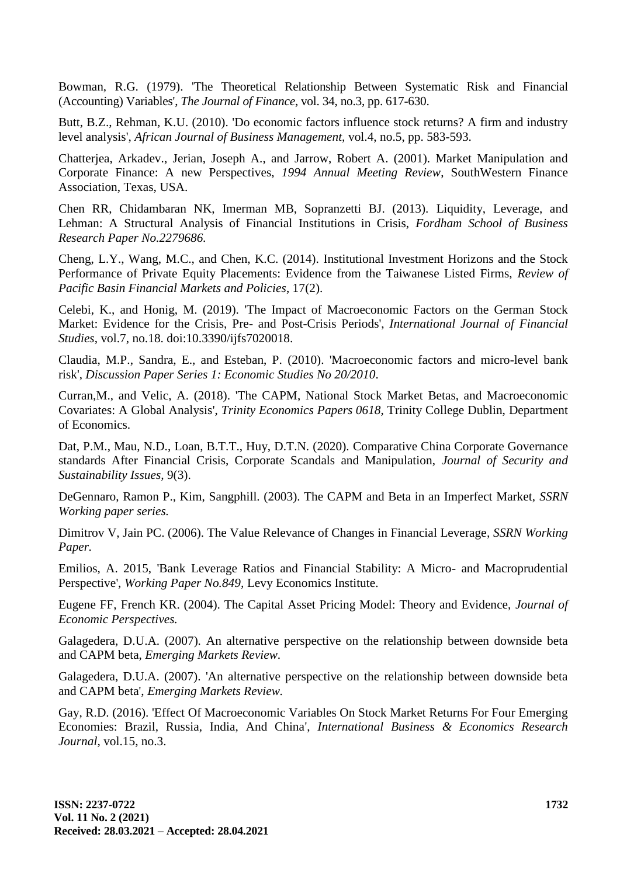Bowman, R.G. (1979). 'The Theoretical Relationship Between Systematic Risk and Financial (Accounting) Variables', *The Journal of Finance*, vol. 34, no.3, pp. 617-630.

Butt, B.Z., Rehman, K.U. (2010). 'Do economic factors influence stock returns? A firm and industry level analysis', *African Journal of Business Management,* vol.4, no.5, pp. 583-593.

Chatterjea, Arkadev., Jerian, Joseph A., and Jarrow, Robert A. (2001). Market Manipulation and Corporate Finance: A new Perspectives, *1994 Annual Meeting Review*, SouthWestern Finance Association, Texas, USA.

Chen RR, Chidambaran NK, Imerman MB, Sopranzetti BJ. (2013). Liquidity, Leverage, and Lehman: A Structural Analysis of Financial Institutions in Crisis, *Fordham School of Business Research Paper No.2279686.*

Cheng, L.Y., Wang, M.C., and Chen, K.C. (2014). Institutional Investment Horizons and the Stock Performance of Private Equity Placements: Evidence from the Taiwanese Listed Firms, *[Review of](https://www.worldscientific.com/worldscinet/rpbfmp)  [Pacific Basin Financial Markets and Policies](https://www.worldscientific.com/worldscinet/rpbfmp)*, 17(2).

Celebi, K., and Honig, M. (2019). 'The Impact of Macroeconomic Factors on the German Stock Market: Evidence for the Crisis, Pre- and Post-Crisis Periods', *International Journal of Financial Studies*, vol.7, no.18. doi:10.3390/ijfs7020018.

Claudia, M.P., Sandra, E., and Esteban, P. (2010). 'Macroeconomic factors and micro-level bank risk', *Discussion Paper Series 1: Economic Studies No 20/2010*.

Curran,M., and Velic, A. (2018). ['The CAPM, National Stock Market Betas, and Macroeconomic](https://ideas.repec.org/p/tcd/tcduee/tep0618.html)  [Covariates: A Global Analysis'](https://ideas.repec.org/p/tcd/tcduee/tep0618.html), *[Trinity Economics Papers](https://ideas.repec.org/s/tcd/tcduee.html) 0618*, Trinity College Dublin, Department of Economics.

Dat, P.M., Mau, N.D., Loan, B.T.T., Huy, D.T.N. (2020). [Comparative China Corporate Governance](http://www.tb.lt/Leidiniai/SSI/9-3/9_3_18.pdf)  [standards After Financial Crisis, Corporate Scandals and Manipulation,](http://www.tb.lt/Leidiniai/SSI/9-3/9_3_18.pdf) *Journal of Security and Sustainability Issues,* 9(3).

DeGennaro, Ramon P., Kim, Sangphill. (2003). The CAPM and Beta in an Imperfect Market, *SSRN Working paper series.*

Dimitrov V, Jain PC. (2006). The Value Relevance of Changes in Financial Leverage*, SSRN Working Paper.*

Emilios, A. 2015, 'Bank Leverage Ratios and Financial Stability: A Micro- and Macroprudential Perspective', *Working Paper No.849,* Levy Economics Institute.

Eugene FF, French KR. (2004). The Capital Asset Pricing Model: Theory and Evidence, *Journal of Economic Perspectives.* 

Galagedera, D.U.A. (2007)*.* An alternative perspective on the relationship between downside beta and CAPM beta, *Emerging Markets Review.*

Galagedera, D.U.A. (2007). 'An alternative perspective on the relationship between downside beta and CAPM beta', *Emerging Markets Review.*

Gay, R.D. (2016). 'Effect Of Macroeconomic Variables On Stock Market Returns For Four Emerging Economies: Brazil, Russia, India, And China', *International Business & Economics Research Journal*, vol.15, no.3.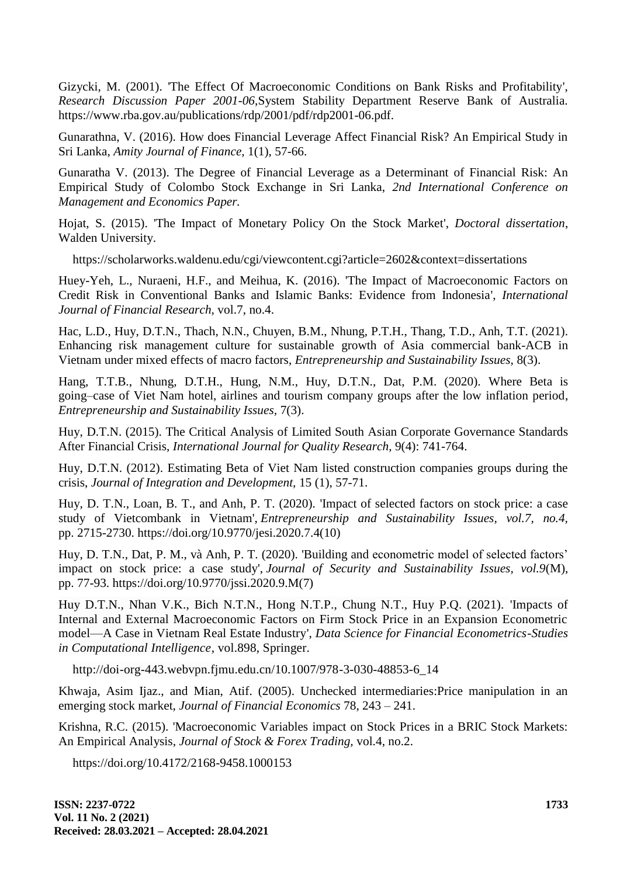Gizycki, M. (2001). 'The Effect Of Macroeconomic Conditions on Bank Risks and Profitability', *Research Discussion Paper 2001-06*,System Stability Department Reserve Bank of Australia. <https://www.rba.gov.au/publications/rdp/2001/pdf/rdp2001-06.pdf.>

Gunarathna, V. (2016). How does Financial Leverage Affect Financial Risk? An Empirical Study in Sri Lanka, *Amity Journal of Finance,* 1(1), 57-66.

Gunaratha V. (2013). The Degree of Financial Leverage as a Determinant of Financial Risk: An Empirical Study of Colombo Stock Exchange in Sri Lanka, *2nd International Conference on Management and Economics Paper.*

Hojat, S. (2015). 'The Impact of Monetary Policy On the Stock Market', *Doctoral dissertation*, Walden University.

<https://scholarworks.waldenu.edu/cgi/viewcontent.cgi?article=2602&context=dissertations>

Huey-Yeh, L., Nuraeni, H.F., and Meihua, K. (2016). 'The Impact of Macroeconomic Factors on Credit Risk in Conventional Banks and Islamic Banks: Evidence from Indonesia', *International Journal of Financial Research,* vol.7, no.4.

Hac, L.D., Huy, D.T.N., Thach, N.N., Chuyen, B.M., Nhung, P.T.H., Thang, T.D., Anh, T.T. (2021). [Enhancing risk management culture for sustainable](http://jssidoi.org/jesi/article/782) growth of Asia commercial bank-ACB in [Vietnam under mixed effects of macro factors,](http://jssidoi.org/jesi/article/782) *Entrepreneurship and Sustainability Issues,* 8(3).

Hang, T.T.B., Nhung, D.T.H., Hung, N.M., Huy, D.T.N., Dat, P.M. (2020). [Where Beta is](http://jssidoi.org/jesi/article/download/521/Hang_Where_Beta_is_going__case_of_Viet_Nam_hotel_airlines_and_tourism_company_groups_after_the_low_inflation_period.pdf)  [going–case of Viet Nam hotel, airlines and tourism company groups after the low inflation period,](http://jssidoi.org/jesi/article/download/521/Hang_Where_Beta_is_going__case_of_Viet_Nam_hotel_airlines_and_tourism_company_groups_after_the_low_inflation_period.pdf) *Entrepreneurship and Sustainability Issues,* 7(3).

Huy, D.T.N. (2015). The Critical Analysis of Limited South Asian Corporate Governance Standards After Financial Crisis, *International Journal for Quality Research,* 9(4): 741-764.

Huy, D.T.N. (2012). [Estimating Beta of Viet Nam listed construction companies groups during the](https://scholar.google.com.vn/javascript:void(0)) [crisis,](https://scholar.google.com.vn/javascript:void(0)) *Journal of Integration and Development,* 15 (1), 57-71.

Huy, D. T.N., Loan, B. T., and Anh, P. T. (2020). 'Impact of selected factors on stock price: a case study of Vietcombank in Vietnam', *Entrepreneurship and Sustainability Issues, vol.7, no.4,* pp. 2715-2730. [https://doi.org/10.9770/jesi.2020.7.4\(10\)](https://doi.org/10.9770/jesi.2020.7.4(10))

Huy, D. T.N., Dat, P. M., và Anh, P. T. (2020). 'Building and econometric model of selected factors' impact on stock price: a case study', *Journal of Security and Sustainability Issues, vol.9*(M), pp. 77-93. [https://doi.org/10.9770/jssi.2020.9.M\(7\)](https://doi.org/10.9770/jssi.2020.9.M(7))

Huy D.T.N., Nhan V.K., Bich N.T.N., Hong N.T.P., Chung N.T., Huy P.Q. (2021). 'Impacts of Internal and External Macroeconomic Factors on Firm Stock Price in an Expansion Econometric model—A Case in Vietnam Real Estate Industry', *Data Science for Financial Econometrics-Studies in Computational Intelligence*, vol.898, Springer.

[http://doi-org-443.webvpn.fjmu.edu.cn/10.1007/978-3-030-48853-6\\_14](http://doi-org-443.webvpn.fjmu.edu.cn/10.1007/978-3-030-48853-6_14)

Khwaja, Asim Ijaz., and Mian, Atif. (2005). Unchecked intermediaries:Price manipulation in an emerging stock market, *Journal of Financial Economics* 78, 243 – 241.

Krishna, R.C. (2015). 'Macroeconomic Variables impact on Stock Prices in a BRIC Stock Markets: An Empirical Analysis, *Journal of Stock & Forex Trading,* vol.4, no.2.

https://doi.org/10.4172/2168-9458.1000153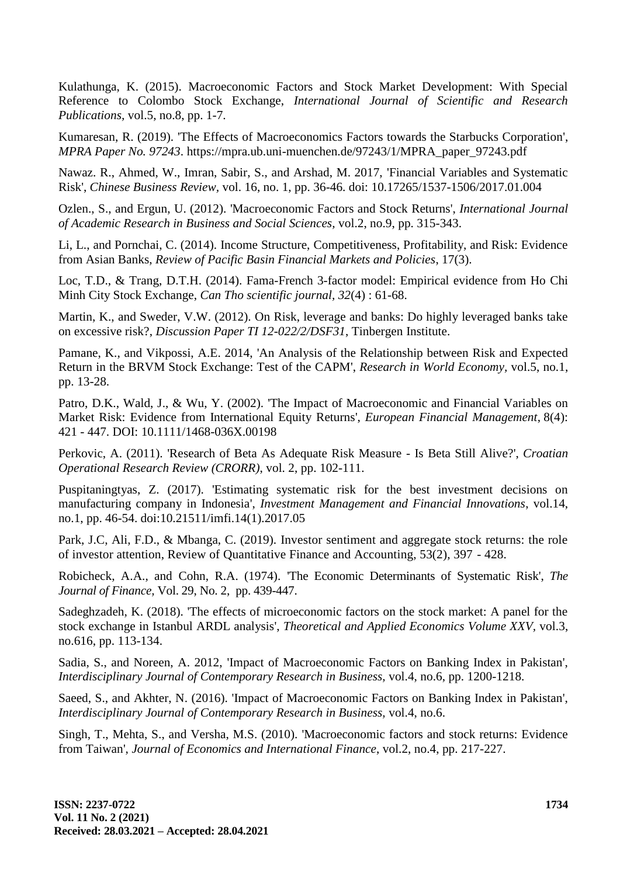Kulathunga, K. (2015). Macroeconomic Factors and Stock Market Development: With Special Reference to Colombo Stock Exchange, *International Journal of Scientific and Research Publications,* vol.5, no.8, pp. 1-7.

Kumaresan, R. (2019). 'The Effects of Macroeconomics Factors towards the Starbucks Corporation', *MPRA Paper No. 97243*. https://mpra.ub.uni-muenchen.de/97243/1/MPRA\_paper\_97243.pdf

Nawaz. R., Ahmed, W., Imran, Sabir, S., and Arshad, M. 2017, 'Financial Variables and Systematic Risk', *Chinese Business Review,* vol. 16, no. 1, pp. 36-46. doi: 10.17265/1537-1506/2017.01.004

Ozlen., S., and Ergun, U. (2012). 'Macroeconomic Factors and Stock Returns', *International Journal of Academic Research in Business and Social Sciences,* vol.2, no.9, pp. 315-343.

Li, L., and Pornchai, C. (2014). Income Structure, Competitiveness, Profitability, and Risk: Evidence from Asian Banks, *[Review of Pacific Basin Financial Markets and Policies](https://www.worldscientific.com/worldscinet/rpbfmp)*, 17(3).

Loc, T.D., & Trang, D.T.H. (2014). Fama-French 3-factor model: Empirical evidence from Ho Chi Minh City Stock Exchange, *Can Tho scientific journal, 32*(4) : 61-68.

Martin, K., and Sweder, V.W. (2012). On Risk, leverage and banks: Do highly leveraged banks take on excessive risk?, *Discussion Paper TI 12-022/2/DSF31*, Tinbergen Institute.

Pamane, K., and Vikpossi, A.E. 2014, 'An Analysis of the Relationship between Risk and Expected Return in the BRVM Stock Exchange: Test of the CAPM', *Research in World Economy,* vol.5, no.1, pp. 13-28.

Patro, D.K., Wald, J., & Wu, Y. (2002). 'The Impact of Macroeconomic and Financial Variables on Market Risk: Evidence from International Equity Returns', *[European Financial Management](https://www.researchgate.net/journal/1468-036X_European_Financial_Management)*, 8(4): 421 - 447. DOI: [10.1111/1468-036X.00198](https://www.researchgate.net/deref/http:/dx.doi.org/10.1111/1468-036X.00198)

Perkovic, A. (2011). 'Research of Beta As Adequate Risk Measure - Is Beta Still Alive?', *Croatian Operational Research Review (CRORR)*, vol. 2, pp. 102-111.

Puspitaningtyas, Z. (2017). 'Estimating systematic risk for the best investment decisions on manufacturing company in Indonesia', *Investment Management and Financial Innovations*, vol.14, no.1, pp. 46-54. doi:10.21511/imfi.14(1).2017.05

Park, J.C, Ali, F.D., & Mbanga, C. (2019). Investor sentiment and aggregate stock returns: the role of investor attention, Review of Quantitative Finance and Accounting, 53(2), 397 - 428.

Robicheck, A.A., and Cohn, R.A. (1974). 'The Economic Determinants of Systematic Risk', *The Journal of Finance,* [Vol. 29, No. 2,](https://www.jstor.org/stable/i352999) pp. 439-447.

Sadeghzadeh, K. (2018). 'The effects of microeconomic factors on the stock market: A panel for the stock exchange in Istanbul ARDL analysis', *Theoretical and Applied Economics Volume XXV,* vol.3, no.616, pp. 113-134.

Sadia, S., and Noreen, A. 2012, 'Impact of Macroeconomic Factors on Banking Index in Pakistan', *Interdisciplinary Journal of Contemporary Research in Business,* vol.4, no.6, pp. 1200-1218.

Saeed, S., and Akhter, N. (2016). 'Impact of Macroeconomic Factors on Banking Index in Pakistan', *Interdisciplinary Journal of Contemporary Research in Business,* vol.4, no.6.

Singh, T., Mehta, S., and Versha, M.S. (2010). 'Macroeconomic factors and stock returns: Evidence from Taiwan', *Journal of Economics and International Finance*, vol.2, no.4, pp. 217-227.